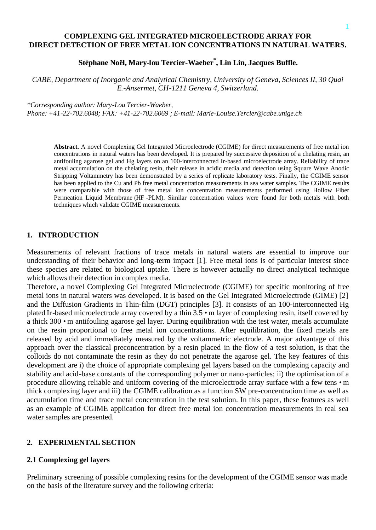### **COMPLEXING GEL INTEGRATED MICROELECTRODE ARRAY FOR DIRECT DETECTION OF FREE METAL ION CONCENTRATIONS IN NATURAL WATERS.**

# **Stéphane Noël, Mary-lou Tercier-Waeber \* , Lin Lin, Jacques Buffle.**

*CABE, Department of Inorganic and Analytical Chemistry, University of Geneva, Sciences II, 30 Quai E.-Ansermet, CH-1211 Geneva 4, Switzerland.*

*\*Corresponding author: Mary-Lou Tercier-Waeber, Phone: +41-22-702.6048; FAX: +41-22-702.6069 ; E-mail: Marie-Louise.Tercier@cabe.unige.ch*

**Abstract.** A novel Complexing Gel Integrated Microelectrode (CGIME) for direct measurements of free metal ion concentrations in natural waters has been developed. It is prepared by successive deposition of a chelating resin, an antifouling agarose gel and Hg layers on an 100-interconnected Ir-based microelectrode array. Reliability of trace metal accumulation on the chelating resin, their release in acidic media and detection using Square Wave Anodic Stripping Voltammetry has been demonstrated by a series of replicate laboratory tests. Finally, the CGIME sensor has been applied to the Cu and Pb free metal concentration measurements in sea water samples. The CGIME results were comparable with those of free metal ion concentration measurements performed using Hollow Fiber Permeation Liquid Membrane (HF -PLM). Similar concentration values were found for both metals with both techniques which validate CGIME measurements.

### **1. INTRODUCTION**

Measurements of relevant fractions of trace metals in natural waters are essential to improve our understanding of their behavior and long-term impact [1]. Free metal ions is of particular interest since these species are related to biological uptake. There is however actually no direct analytical technique which allows their detection in complex media.

Therefore, a novel Complexing Gel Integrated Microelectrode (CGIME) for specific monitoring of free metal ions in natural waters was developed. It is based on the Gel Integrated Microelectrode (GIME) [2] and the Diffusion Gradients in Thin-film (DGT) principles [3]. It consists of an 100-interconnected Hg plated Ir-based microelectrode array covered by a thin 3.5 •m layer of complexing resin, itself covered by a thick 300 •m antifouling agarose gel layer. During equilibration with the test water, metals accumulate on the resin proportional to free metal ion concentrations. After equilibration, the fixed metals are released by acid and immediately measured by the voltammetric electrode. A major advantage of this approach over the classical preconcentration by a resin placed in the flow of a test solution, is that the colloids do not contaminate the resin as they do not penetrate the agarose gel. The key features of this development are i) the choice of appropriate complexing gel layers based on the complexing capacity and stability and acid-base constants of the corresponding polymer or nano-particles; ii) the optimisation of a procedure allowing reliable and uniform covering of the microelectrode array surface with a few tens • m thick complexing layer and iii) the CGIME calibration as a function SW pre-concentration time as well as accumulation time and trace metal concentration in the test solution. In this paper, these features as well as an example of CGIME application for direct free metal ion concentration measurements in real sea water samples are presented.

### **2. EXPERIMENTAL SECTION**

## **2.1 Complexing gel layers**

Preliminary screening of possible complexing resins for the development of the CGIME sensor was made on the basis of the literature survey and the following criteria: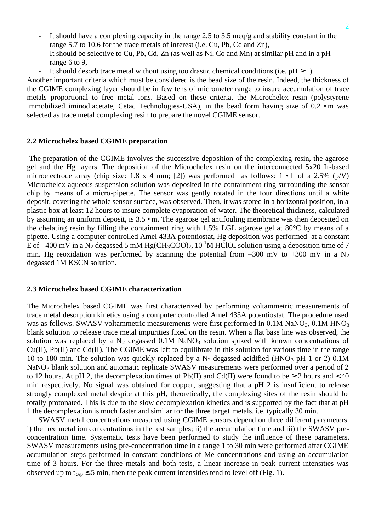- It should have a complexing capacity in the range 2.5 to 3.5 meq/g and stability constant in the range 5.7 to 10.6 for the trace metals of interest (i.e. Cu, Pb, Cd and Zn),
- It should be selective to Cu, Pb, Cd, Zn (as well as Ni, Co and Mn) at similar pH and in a pH range 6 to 9,
- It should desorb trace metal without using too drastic chemical conditions (i.e.  $pH \ge 1$ ).

Another important criteria which must be considered is the bead size of the resin. Indeed, the thickness of the CGIME complexing layer should be in few tens of micrometer range to insure accumulation of trace metals proportional to free metal ions. Based on these criteria, the Microchelex resin (polystyrene immobilized iminodiacetate, Cetac Technologies-USA), in the bead form having size of 0.2 •m was selected as trace metal complexing resin to prepare the novel CGIME sensor.

#### **2.2 Microchelex based CGIME preparation**

 The preparation of the CGIME involves the successive deposition of the complexing resin, the agarose gel and the Hg layers. The deposition of the Microchelex resin on the interconnected 5x20 Ir-based microelectrode array (chip size: 1.8 x 4 mm; [2]) was performed as follows:  $1 \cdot L$  of a 2.5% (p/V) Microchelex aqueous suspension solution was deposited in the containment ring surrounding the sensor chip by means of a micro-pipette. The sensor was gently rotated in the four directions until a white deposit, covering the whole sensor surface, was observed. Then, it was stored in a horizontal position, in a plastic box at least 12 hours to insure complete evaporation of water. The theoretical thickness, calculated by assuming an uniform deposit, is 3.5 •m. The agarose gel antifouling membrane was then deposited on the chelating resin by filling the containment ring with 1.5% LGL agarose gel at 80°C by means of a pipette. Using a computer controlled Amel 433A potentiostat, Hg deposition was performed at a constant E of  $-400$  mV in a N<sub>2</sub> degassed 5 mM Hg(CH<sub>3</sub>COO)<sub>2</sub>, 10<sup>-1</sup>M HClO<sub>4</sub> solution using a deposition time of 7 min. Hg reoxidation was performed by scanning the potential from  $-300$  mV to  $+300$  mV in a N<sub>2</sub> degassed 1M KSCN solution.

#### **2.3 Microchelex based CGIME characterization**

The Microchelex based CGIME was first characterized by performing voltammetric measurements of trace metal desorption kinetics using a computer controlled Amel 433A potentiostat. The procedure used was as follows. SWASV voltammetric measurements were first performed in  $0.1M$  NaNO<sub>3</sub>,  $0.1M$  HNO<sub>3</sub> blank solution to release trace metal impurities fixed on the resin. When a flat base line was observed, the solution was replaced by a  $N_2$  degassed 0.1M NaNO<sub>3</sub> solution spiked with known concentrations of Cu(II), Pb(II) and Cd(II). The CGIME was left to equilibrate in this solution for various time in the range 10 to 180 min. The solution was quickly replaced by a  $N_2$  degassed acidified (HNO<sub>3</sub> pH 1 or 2) 0.1M NaNO<sub>3</sub> blank solution and automatic replicate SWASV measurements were performed over a period of 2 to 12 hours. At pH 2, the decomplexation times of Pb(II) and Cd(II) were found to be  $\geq 2$  hours and < 40 min respectively. No signal was obtained for copper, suggesting that a pH 2 is insufficient to release strongly complexed metal despite at this pH, theoretically, the complexing sites of the resin should be totally protonated. This is due to the slow decomplexation kinetics and is supported by the fact that at pH 1 the decomplexation is much faster and similar for the three target metals, i.e. typically 30 min.

SWASV metal concentrations measured using CGIME sensors depend on three different parameters: i) the free metal ion concentrations in the test samples; ii) the accumulation time and iii) the SWASV preconcentration time. Systematic tests have been performed to study the influence of these parameters. SWASV measurements using pre-concentration time in a range 1 to 30 min were performed after CGIME accumulation steps performed in constant conditions of Me concentrations and using an accumulation time of 3 hours. For the three metals and both tests, a linear increase in peak current intensities was observed up to  $t_{den} \le 5$  min, then the peak current intensities tend to level off (Fig. 1).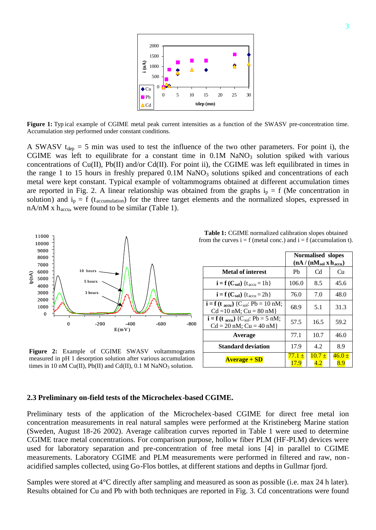

**Figure 1:** Typ ical example of CGIME metal peak current intensities as a function of the SWASV pre-concentration time. Accumulation step performed under constant conditions.

A SWASV  $t_{dep} = 5$  min was used to test the influence of the two other parameters. For point i), the CGIME was left to equilibrate for a constant time in  $0.1M$  NaNO<sub>3</sub> solution spiked with various concentrations of Cu(II), Pb(II) and/or Cd(II). For point ii), the CGIME was left equilibrated in times in the range 1 to 15 hours in freshly prepared  $0.1M$  NaNO<sub>3</sub> solutions spiked and concentrations of each metal were kept constant. Typical example of voltammograms obtained at different accumulation times are reported in Fig. 2. A linear relationship was obtained from the graphs  $i_p = f$  (Me concentration in solution) and  $i_p = f$  (t<sub>accumulation</sub>) for the three target elements and the normalized slopes, expressed in  $nA/nM$  x  $h_{\text{accu}}$ , were found to be similar (Table 1).



**Figure 2:** Example of CGIME SWASV voltammograms measured in pH 1 desorption solution after various accumulation times in 10 nM Cu(II), Pb(II) and Cd(II),  $0.1$  M NaNO<sub>3</sub> solution.

**Table 1:** CGIME normalized calibration slopes obtained from the curves  $i = f$  (metal conc.) and  $i = f$  (accumulation t).

|                                                                                                 | Normalised slopes<br>$(nA / (nMsol x haccu)$ |                   |                   |
|-------------------------------------------------------------------------------------------------|----------------------------------------------|-------------------|-------------------|
| <b>Metal of interest</b>                                                                        | Pb                                           | C <sub>d</sub>    | Сu                |
| $\mathbf{i} = \mathbf{f}(\mathbf{C}_{sol}) \{ t_{accu} = 1h \}$                                 | 106.0                                        | 8.5               | 45.6              |
| $\mathbf{i} = \mathbf{f}(\mathbf{C}_{\text{sol}})$ { $\mathbf{t}_{\text{accu}} = 2\mathbf{h}$ } | 76.0                                         | 7.0               | 48.0              |
| $i = f(t_{\text{accu}})$ {C <sub>sol</sub> : Pb = 10 nM;<br>$Cd = 10$ nM; $Cu = 80$ nM}         | 68.9                                         | 5.1               | 31.3              |
| $i = f(t_{\text{accu}})$ {C <sub>sol</sub> : Pb = 5 nM;<br>$Cd = 20$ nM; $Cu = 40$ nM}          | 57.5                                         | 16.5              | 59.2              |
| Average                                                                                         | 77.1                                         | 10.7              | 46.0              |
| <b>Standard deviation</b>                                                                       | 17.9                                         | 4.2               | 8.9               |
| <b>Average + SD</b>                                                                             | 77.1 ±<br>17.9                               | $10.7 \pm$<br>4.2 | $46.0 \pm$<br>8.9 |

#### **2.3 Preliminary on-field tests of the Microchelex-based CGIME.**

Preliminary tests of the application of the Microchelex-based CGIME for direct free metal ion concentration measurements in real natural samples were performed at the Kristineberg Marine station (Sweden, August 18-26 2002). Average calibration curves reported in Table 1 were used to determine CGIME trace metal concentrations. For comparison purpose, hollow fiber PLM (HF-PLM) devices were used for laboratory separation and pre-concentration of free metal ions [4] in parallel to CGIME measurements. Laboratory CGIME and PLM measurements were performed in filtered and raw, nonacidified samples collected, using Go-Flos bottles, at different stations and depths in Gullmar fjord.

Samples were stored at 4°C directly after sampling and measured as soon as possible (i.e. max 24 h later). Results obtained for Cu and Pb with both techniques are reported in Fig. 3. Cd concentrations were found